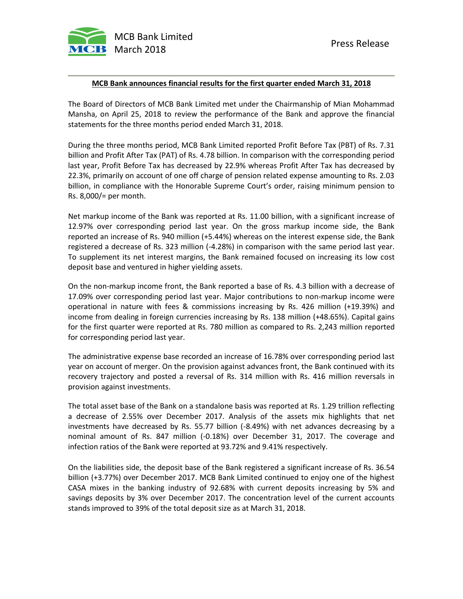

## **MCB Bank announces financial results for the first quarter ended March 31, 2018**

The Board of Directors of MCB Bank Limited met under the Chairmanship of Mian Mohammad Mansha, on April 25, 2018 to review the performance of the Bank and approve the financial statements for the three months period ended March 31, 2018.

During the three months period, MCB Bank Limited reported Profit Before Tax (PBT) of Rs. 7.31 billion and Profit After Tax (PAT) of Rs. 4.78 billion. In comparison with the corresponding period last year, Profit Before Tax has decreased by 22.9% whereas Profit After Tax has decreased by 22.3%, primarily on account of one off charge of pension related expense amounting to Rs. 2.03 billion, in compliance with the Honorable Supreme Court's order, raising minimum pension to Rs. 8,000/= per month.

Net markup income of the Bank was reported at Rs. 11.00 billion, with a significant increase of 12.97% over corresponding period last year. On the gross markup income side, the Bank reported an increase of Rs. 940 million (+5.44%) whereas on the interest expense side, the Bank registered a decrease of Rs. 323 million (-4.28%) in comparison with the same period last year. To supplement its net interest margins, the Bank remained focused on increasing its low cost deposit base and ventured in higher yielding assets.

On the non-markup income front, the Bank reported a base of Rs. 4.3 billion with a decrease of 17.09% over corresponding period last year. Major contributions to non-markup income were operational in nature with fees & commissions increasing by Rs. 426 million (+19.39%) and income from dealing in foreign currencies increasing by Rs. 138 million (+48.65%). Capital gains for the first quarter were reported at Rs. 780 million as compared to Rs. 2,243 million reported for corresponding period last year.

The administrative expense base recorded an increase of 16.78% over corresponding period last year on account of merger. On the provision against advances front, the Bank continued with its recovery trajectory and posted a reversal of Rs. 314 million with Rs. 416 million reversals in provision against investments.

The total asset base of the Bank on a standalone basis was reported at Rs. 1.29 trillion reflecting a decrease of 2.55% over December 2017. Analysis of the assets mix highlights that net investments have decreased by Rs. 55.77 billion (-8.49%) with net advances decreasing by a nominal amount of Rs. 847 million (-0.18%) over December 31, 2017. The coverage and infection ratios of the Bank were reported at 93.72% and 9.41% respectively.

On the liabilities side, the deposit base of the Bank registered a significant increase of Rs. 36.54 billion (+3.77%) over December 2017. MCB Bank Limited continued to enjoy one of the highest CASA mixes in the banking industry of 92.68% with current deposits increasing by 5% and savings deposits by 3% over December 2017. The concentration level of the current accounts stands improved to 39% of the total deposit size as at March 31, 2018.